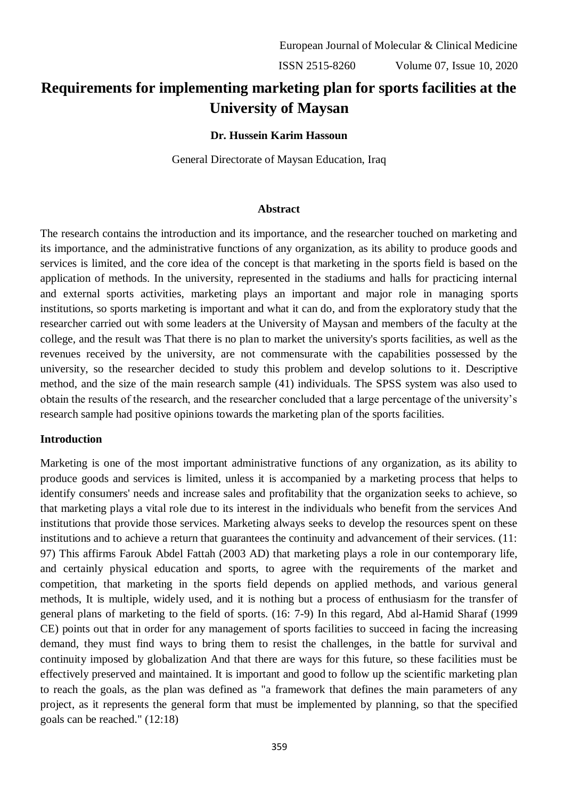ISSN 2515-8260 Volume 07, Issue 10, 2020

# **Requirements for implementing marketing plan for sports facilities at the University of Maysan**

**Dr. Hussein Karim Hassoun**

General Directorate of Maysan Education, Iraq

#### **Abstract**

The research contains the introduction and its importance, and the researcher touched on marketing and its importance, and the administrative functions of any organization, as its ability to produce goods and services is limited, and the core idea of the concept is that marketing in the sports field is based on the application of methods. In the university, represented in the stadiums and halls for practicing internal and external sports activities, marketing plays an important and major role in managing sports institutions, so sports marketing is important and what it can do, and from the exploratory study that the researcher carried out with some leaders at the University of Maysan and members of the faculty at the college, and the result was That there is no plan to market the university's sports facilities, as well as the revenues received by the university, are not commensurate with the capabilities possessed by the university, so the researcher decided to study this problem and develop solutions to it. Descriptive method, and the size of the main research sample (41) individuals. The SPSS system was also used to obtain the results of the research, and the researcher concluded that a large percentage of the university's research sample had positive opinions towards the marketing plan of the sports facilities.

#### **Introduction**

Marketing is one of the most important administrative functions of any organization, as its ability to produce goods and services is limited, unless it is accompanied by a marketing process that helps to identify consumers' needs and increase sales and profitability that the organization seeks to achieve, so that marketing plays a vital role due to its interest in the individuals who benefit from the services And institutions that provide those services. Marketing always seeks to develop the resources spent on these institutions and to achieve a return that guarantees the continuity and advancement of their services. (11: 97) This affirms Farouk Abdel Fattah (2003 AD) that marketing plays a role in our contemporary life, and certainly physical education and sports, to agree with the requirements of the market and competition, that marketing in the sports field depends on applied methods, and various general methods, It is multiple, widely used, and it is nothing but a process of enthusiasm for the transfer of general plans of marketing to the field of sports. (16: 7-9) In this regard, Abd al-Hamid Sharaf (1999 CE) points out that in order for any management of sports facilities to succeed in facing the increasing demand, they must find ways to bring them to resist the challenges, in the battle for survival and continuity imposed by globalization And that there are ways for this future, so these facilities must be effectively preserved and maintained. It is important and good to follow up the scientific marketing plan to reach the goals, as the plan was defined as "a framework that defines the main parameters of any project, as it represents the general form that must be implemented by planning, so that the specified goals can be reached." (12:18)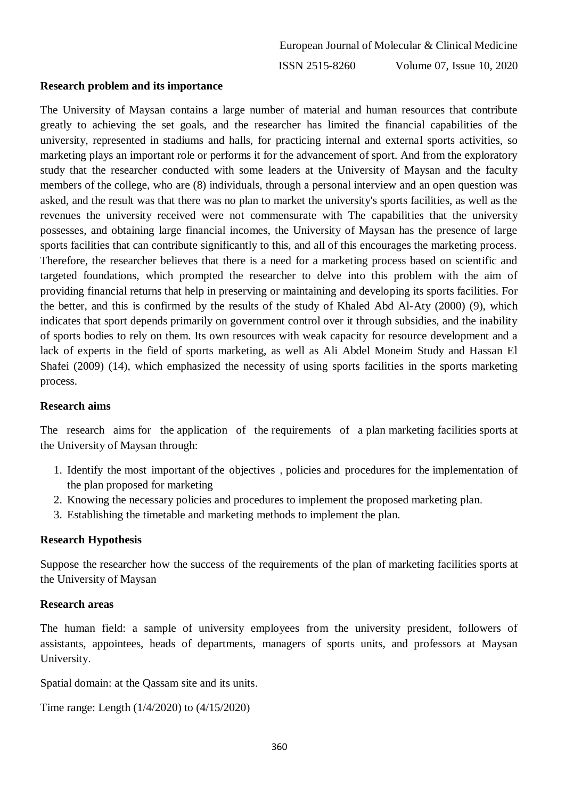#### **Research problem and its importance**

The University of Maysan contains a large number of material and human resources that contribute greatly to achieving the set goals, and the researcher has limited the financial capabilities of the university, represented in stadiums and halls, for practicing internal and external sports activities, so marketing plays an important role or performs it for the advancement of sport. And from the exploratory study that the researcher conducted with some leaders at the University of Maysan and the faculty members of the college, who are (8) individuals, through a personal interview and an open question was asked, and the result was that there was no plan to market the university's sports facilities, as well as the revenues the university received were not commensurate with The capabilities that the university possesses, and obtaining large financial incomes, the University of Maysan has the presence of large sports facilities that can contribute significantly to this, and all of this encourages the marketing process. Therefore, the researcher believes that there is a need for a marketing process based on scientific and targeted foundations, which prompted the researcher to delve into this problem with the aim of providing financial returns that help in preserving or maintaining and developing its sports facilities. For the better, and this is confirmed by the results of the study of Khaled Abd Al-Aty (2000) (9), which indicates that sport depends primarily on government control over it through subsidies, and the inability of sports bodies to rely on them. Its own resources with weak capacity for resource development and a lack of experts in the field of sports marketing, as well as Ali Abdel Moneim Study and Hassan El Shafei (2009) (14), which emphasized the necessity of using sports facilities in the sports marketing process.

#### **Research aims**

The research aims for the application of the requirements of a plan marketing facilities sports at the University of Maysan through:

- 1. Identify the most important of the objectives , policies and procedures for the implementation of the plan proposed for marketing
- 2. Knowing the necessary policies and procedures to implement the proposed marketing plan.
- 3. Establishing the timetable and marketing methods to implement the plan.

#### **Research Hypothesis**

Suppose the researcher how the success of the requirements of the plan of marketing facilities sports at the University of Maysan

#### **Research areas**

The human field: a sample of university employees from the university president, followers of assistants, appointees, heads of departments, managers of sports units, and professors at Maysan University.

Spatial domain: at the Qassam site and its units.

Time range: Length (1/4/2020) to (4/15/2020)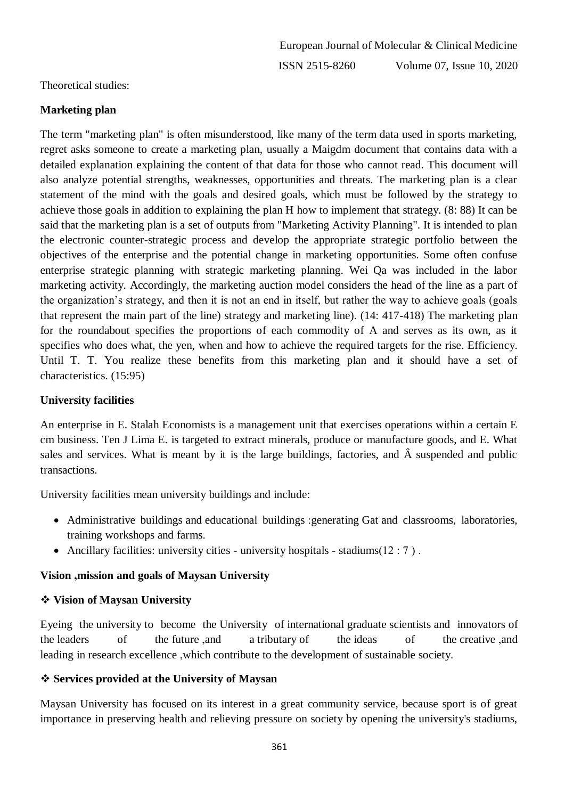Theoretical studies:

### **Marketing plan**

The term "marketing plan" is often misunderstood, like many of the term data used in sports marketing, regret asks someone to create a marketing plan, usually a Maigdm document that contains data with a detailed explanation explaining the content of that data for those who cannot read. This document will also analyze potential strengths, weaknesses, opportunities and threats. The marketing plan is a clear statement of the mind with the goals and desired goals, which must be followed by the strategy to achieve those goals in addition to explaining the plan H how to implement that strategy. (8: 88) It can be said that the marketing plan is a set of outputs from "Marketing Activity Planning". It is intended to plan the electronic counter-strategic process and develop the appropriate strategic portfolio between the objectives of the enterprise and the potential change in marketing opportunities. Some often confuse enterprise strategic planning with strategic marketing planning. Wei Qa was included in the labor marketing activity. Accordingly, the marketing auction model considers the head of the line as a part of the organization's strategy, and then it is not an end in itself, but rather the way to achieve goals (goals that represent the main part of the line) strategy and marketing line). (14: 417-418) The marketing plan for the roundabout specifies the proportions of each commodity of A and serves as its own, as it specifies who does what, the yen, when and how to achieve the required targets for the rise. Efficiency. Until T. T. You realize these benefits from this marketing plan and it should have a set of characteristics. (15:95)

### **University facilities**

An enterprise in E. Stalah Economists is a management unit that exercises operations within a certain E cm business. Ten J Lima E. is targeted to extract minerals, produce or manufacture goods, and E. What sales and services. What is meant by it is the large buildings, factories, and  $\hat{A}$  suspended and public transactions.

University facilities mean university buildings and include:

- Administrative buildings and educational buildings :generating Gat and classrooms, laboratories, training workshops and farms.
- Ancillary facilities: university cities university hospitals stadiums $(12 : 7)$ .

### **Vision ,mission and goals of Maysan University**

#### **Vision of Maysan University**

Eyeing the university to become the University of international graduate scientists and innovators of the leaders of the future ,and a tributary of the ideas of the creative ,and leading in research excellence ,which contribute to the development of sustainable society.

#### **Services provided at the University of Maysan**

Maysan University has focused on its interest in a great community service, because sport is of great importance in preserving health and relieving pressure on society by opening the university's stadiums,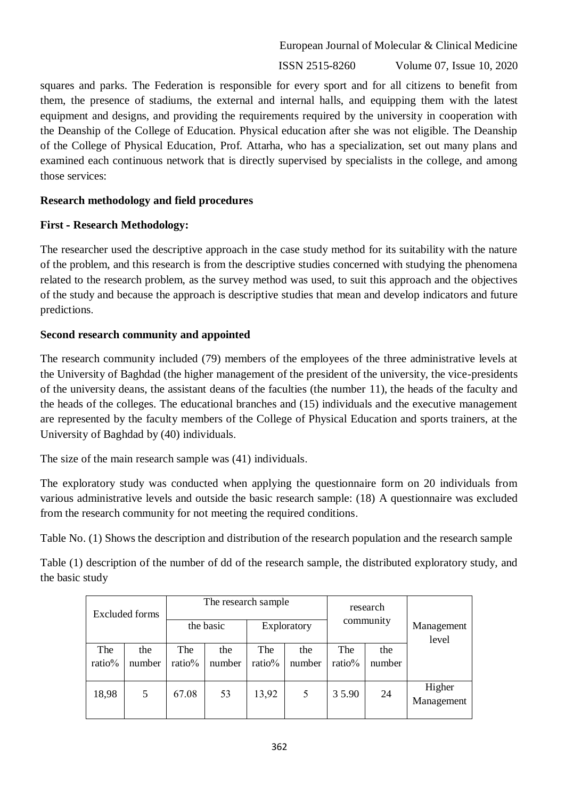ISSN 2515-8260 Volume 07, Issue 10, 2020

squares and parks. The Federation is responsible for every sport and for all citizens to benefit from them, the presence of stadiums, the external and internal halls, and equipping them with the latest equipment and designs, and providing the requirements required by the university in cooperation with the Deanship of the College of Education. Physical education after she was not eligible. The Deanship of the College of Physical Education, Prof. Attarha, who has a specialization, set out many plans and examined each continuous network that is directly supervised by specialists in the college, and among those services:

#### **Research methodology and field procedures**

#### **First - Research Methodology:**

The researcher used the descriptive approach in the case study method for its suitability with the nature of the problem, and this research is from the descriptive studies concerned with studying the phenomena related to the research problem, as the survey method was used, to suit this approach and the objectives of the study and because the approach is descriptive studies that mean and develop indicators and future predictions.

#### **Second research community and appointed**

The research community included (79) members of the employees of the three administrative levels at the University of Baghdad (the higher management of the president of the university, the vice-presidents of the university deans, the assistant deans of the faculties (the number 11), the heads of the faculty and the heads of the colleges. The educational branches and (15) individuals and the executive management are represented by the faculty members of the College of Physical Education and sports trainers, at the University of Baghdad by (40) individuals.

The size of the main research sample was (41) individuals.

The exploratory study was conducted when applying the questionnaire form on 20 individuals from various administrative levels and outside the basic research sample: (18) A questionnaire was excluded from the research community for not meeting the required conditions.

Table No. (1) Shows the description and distribution of the research population and the research sample

Table (1) description of the number of dd of the research sample, the distributed exploratory study, and the basic study

| <b>Excluded forms</b> |               |               | The research sample<br>the basic | Exploratory   | research<br>community |               | Management<br>level |                      |  |
|-----------------------|---------------|---------------|----------------------------------|---------------|-----------------------|---------------|---------------------|----------------------|--|
| The<br>ratio%         | the<br>number | The<br>ratio% | the<br>number                    | The<br>ratio% | the<br>number         | The<br>ratio% | the<br>number       |                      |  |
| 18,98                 | 5             | 67.08         | 53                               | 13,92         | 5                     | 35.90         | 24                  | Higher<br>Management |  |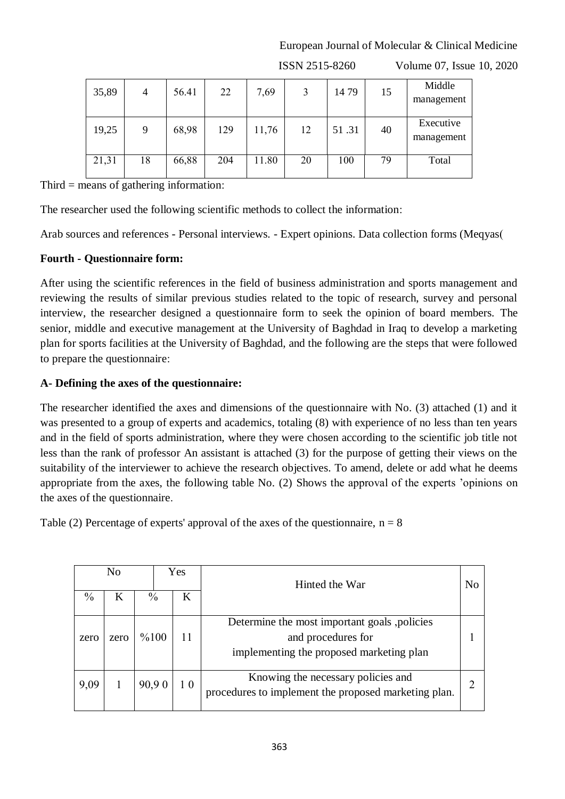| 35,89 | 4  | 56.41 | 22  | 7,69  | 3  | 1479  | 15 | Middle<br>management    |
|-------|----|-------|-----|-------|----|-------|----|-------------------------|
| 19,25 | 9  | 68,98 | 129 | 11,76 | 12 | 51.31 | 40 | Executive<br>management |
| 21,31 | 18 | 66,88 | 204 | 11.80 | 20 | 100   | 79 | Total                   |

ISSN 2515-8260 Volume 07, Issue 10, 2020

Third = means of gathering information:

The researcher used the following scientific methods to collect the information:

Arab sources and references - Personal interviews. - Expert opinions. Data collection forms (Meqyas(

#### **Fourth - Questionnaire form:**

After using the scientific references in the field of business administration and sports management and reviewing the results of similar previous studies related to the topic of research, survey and personal interview, the researcher designed a questionnaire form to seek the opinion of board members. The senior, middle and executive management at the University of Baghdad in Iraq to develop a marketing plan for sports facilities at the University of Baghdad, and the following are the steps that were followed to prepare the questionnaire:

#### **A- Defining the axes of the questionnaire:**

The researcher identified the axes and dimensions of the questionnaire with No. (3) attached (1) and it was presented to a group of experts and academics, totaling (8) with experience of no less than ten years and in the field of sports administration, where they were chosen according to the scientific job title not less than the rank of professor An assistant is attached (3) for the purpose of getting their views on the suitability of the interviewer to achieve the research objectives. To amend, delete or add what he deems appropriate from the axes, the following table No. (2) Shows the approval of the experts 'opinions on the axes of the questionnaire.

Table (2) Percentage of experts' approval of the axes of the questionnaire,  $n = 8$ 

| Yes<br>N <sub>0</sub> |                         |         | Hinted the War |                                                                                            |                                                                                                                |  |
|-----------------------|-------------------------|---------|----------------|--------------------------------------------------------------------------------------------|----------------------------------------------------------------------------------------------------------------|--|
| $\frac{0}{0}$         | $\frac{0}{0}$<br>Κ<br>K |         |                |                                                                                            |                                                                                                                |  |
| zero                  | zero                    | $\%100$ |                | 11                                                                                         | Determine the most important goals, policies<br>and procedures for<br>implementing the proposed marketing plan |  |
| 9,09                  | 90,90<br>10             |         |                | Knowing the necessary policies and<br>procedures to implement the proposed marketing plan. |                                                                                                                |  |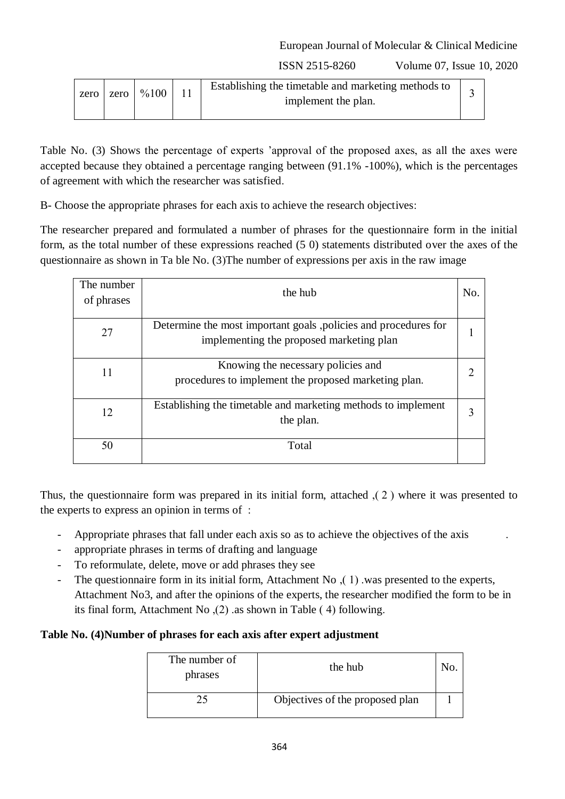ISSN 2515-8260 Volume 07, Issue 10, 2020

| zero | zero l | %100 |  | Establishing the timetable and marketing methods to<br>implement the plan. |  |
|------|--------|------|--|----------------------------------------------------------------------------|--|
|------|--------|------|--|----------------------------------------------------------------------------|--|

Table No. (3) Shows the percentage of experts 'approval of the proposed axes, as all the axes were accepted because they obtained a percentage ranging between (91.1% -100%), which is the percentages of agreement with which the researcher was satisfied.

B- Choose the appropriate phrases for each axis to achieve the research objectives:

The researcher prepared and formulated a number of phrases for the questionnaire form in the initial form, as the total number of these expressions reached (5 0) statements distributed over the axes of the questionnaire as shown in Ta ble No.  $(3)$ The number of expressions per axis in the raw image

| The number<br>of phrases | the hub                                                                                                     | No. |
|--------------------------|-------------------------------------------------------------------------------------------------------------|-----|
| 27                       | Determine the most important goals, policies and procedures for<br>implementing the proposed marketing plan |     |
| 11                       | Knowing the necessary policies and<br>procedures to implement the proposed marketing plan.                  |     |
| 12                       | Establishing the timetable and marketing methods to implement<br>the plan.                                  |     |
| 50                       | Total                                                                                                       |     |

Thus, the questionnaire form was prepared in its initial form, attached  $(2)$  where it was presented to the experts to express an opinion in terms of :

- Appropriate phrases that fall under each axis so as to achieve the objectives of the axis
- appropriate phrases in terms of drafting and language
- To reformulate, delete, move or add phrases they see
- The questionnaire form in its initial form, Attachment No  $(1)$  was presented to the experts, Attachment No3, and after the opinions of the experts, the researcher modified the form to be in its final form, Attachment No  $(2)$  as shown in Table (4) following.

#### **Table No. (4)Number of phrases for each axis after expert adjustment**

| The number of<br>phrases | the hub                         |  |
|--------------------------|---------------------------------|--|
|                          | Objectives of the proposed plan |  |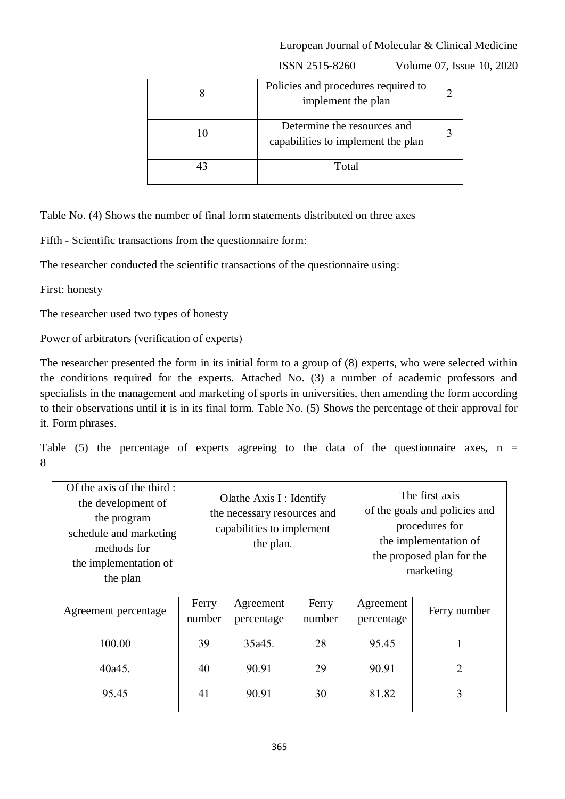|    | Policies and procedures required to<br>implement the plan         |  |
|----|-------------------------------------------------------------------|--|
| 10 | Determine the resources and<br>capabilities to implement the plan |  |
|    | Total                                                             |  |

ISSN 2515-8260 Volume 07, Issue 10, 2020

Table No. (4) Shows the number of final form statements distributed on three axes

Fifth - Scientific transactions from the questionnaire form:

The researcher conducted the scientific transactions of the questionnaire using:

First: honesty

The researcher used two types of honesty

Power of arbitrators (verification of experts)

The researcher presented the form in its initial form to a group of (8) experts, who were selected within the conditions required for the experts. Attached No. (3) a number of academic professors and specialists in the management and marketing of sports in universities, then amending the form according to their observations until it is in its final form. Table No. (5) Shows the percentage of their approval for it. Form phrases.

Table  $(5)$  the percentage of experts agreeing to the data of the questionnaire axes, n = 8

| Of the axis of the third:<br>the development of<br>the program<br>schedule and marketing<br>methods for<br>the implementation of<br>the plan |                 | Olathe Axis I : Identify<br>the necessary resources and<br>capabilities to implement<br>the plan. |                 | The first axis<br>of the goals and policies and<br>procedures for<br>the implementation of<br>the proposed plan for the<br>marketing |                |
|----------------------------------------------------------------------------------------------------------------------------------------------|-----------------|---------------------------------------------------------------------------------------------------|-----------------|--------------------------------------------------------------------------------------------------------------------------------------|----------------|
| Agreement percentage                                                                                                                         | Ferry<br>number | Agreement<br>percentage                                                                           | Ferry<br>number | Agreement<br>percentage                                                                                                              | Ferry number   |
| 100.00                                                                                                                                       | 39              | 35a45.                                                                                            | 28              | 95.45                                                                                                                                |                |
| 40a45.                                                                                                                                       | 40              | 90.91                                                                                             | 29              | 90.91                                                                                                                                | $\overline{2}$ |
| 95.45                                                                                                                                        | 41              | 90.91                                                                                             | 30              | 81.82                                                                                                                                | 3              |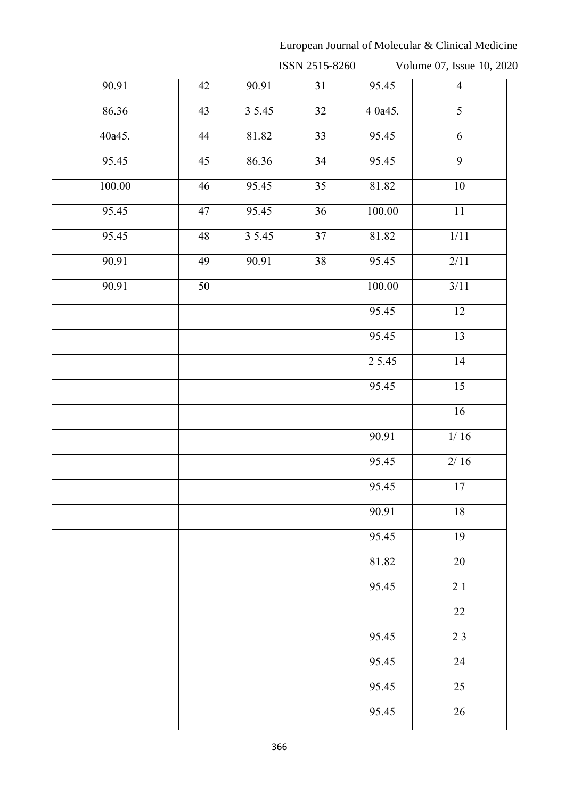ISSN 2515-8260 Volume 07, Issue 10, 2020

| 90.91  | 42              | 90.91  | 31              | 95.45      | $\overline{4}$  |
|--------|-----------------|--------|-----------------|------------|-----------------|
| 86.36  | 43              | 35.45  | $\overline{32}$ | 4 0a45.    | $\overline{5}$  |
| 40a45. | 44              | 81.82  | $\overline{33}$ | 95.45      | 6               |
| 95.45  | 45              | 86.36  | 34              | 95.45      | $\overline{9}$  |
| 100.00 | $\overline{46}$ | 95.45  | $\overline{35}$ | 81.82      | 10              |
| 95.45  | 47              | 95.45  | 36              | $100.00\,$ | $11\,$          |
| 95.45  | 48              | 3 5.45 | $\overline{37}$ | 81.82      | 1/11            |
| 90.91  | 49              | 90.91  | 38              | 95.45      | 2/11            |
| 90.91  | 50              |        |                 | 100.00     | 3/11            |
|        |                 |        |                 | 95.45      | $\overline{12}$ |
|        |                 |        |                 | 95.45      | 13              |
|        |                 |        |                 | 2 5.45     | 14              |
|        |                 |        |                 | 95.45      | $\overline{15}$ |
|        |                 |        |                 |            | 16              |
|        |                 |        |                 | 90.91      | $1/16$          |
|        |                 |        |                 | 95.45      | $2/16$          |
|        |                 |        |                 | 95.45      | 17              |
|        |                 |        |                 | 90.91      | 18              |
|        |                 |        |                 | 95.45      | 19              |
|        |                 |        |                 | 81.82      | $20\,$          |
|        |                 |        |                 | 95.45      | $\overline{21}$ |
|        |                 |        |                 |            | $\overline{22}$ |
|        |                 |        |                 | 95.45      | 23              |
|        |                 |        |                 | 95.45      | 24              |
|        |                 |        |                 | 95.45      | $\overline{25}$ |
|        |                 |        |                 | 95.45      | $\overline{26}$ |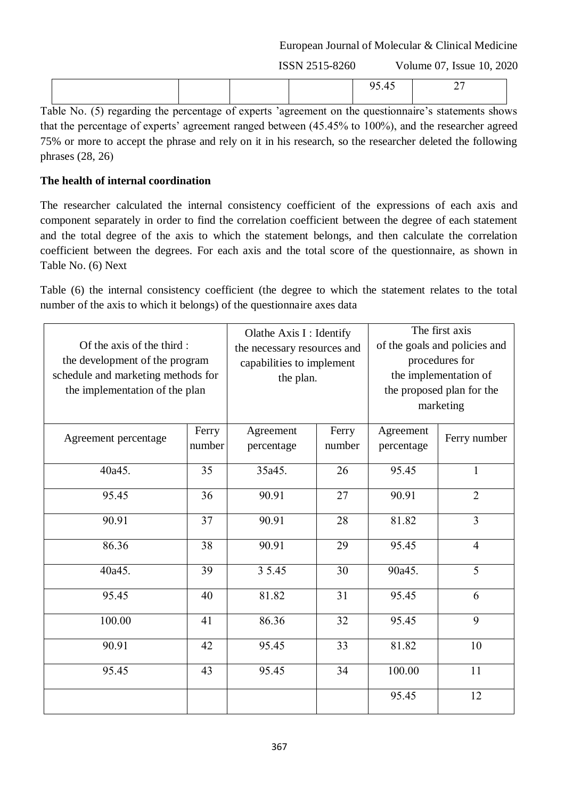ISSN 2515-8260 Volume 07, Issue 10, 2020

Table No. (5) regarding the percentage of experts 'agreement on the questionnaire's statements shows that the percentage of experts' agreement ranged between (45.45% to 100%), and the researcher agreed 75% or more to accept the phrase and rely on it in his research, so the researcher deleted the following phrases  $(28, 26)$ 

### **The health of internal coordination**

The researcher calculated the internal consistency coefficient of the expressions of each axis and component separately in order to find the correlation coefficient between the degree of each statement and the total degree of the axis to which the statement belongs, and then calculate the correlation coefficient between the degrees. For each axis and the total score of the questionnaire, as shown in Table No. (6) Next

Table (6) the internal consistency coefficient (the degree to which the statement relates to the total number of the axis to which it belongs) of the questionnaire axes data

| Of the axis of the third:<br>the development of the program<br>schedule and marketing methods for<br>the implementation of the plan |                 | Olathe Axis I : Identify<br>the necessary resources and<br>capabilities to implement<br>the plan. |                 | The first axis<br>of the goals and policies and<br>procedures for<br>the implementation of<br>the proposed plan for the<br>marketing |                |
|-------------------------------------------------------------------------------------------------------------------------------------|-----------------|---------------------------------------------------------------------------------------------------|-----------------|--------------------------------------------------------------------------------------------------------------------------------------|----------------|
| Agreement percentage                                                                                                                | Ferry<br>number | Agreement<br>percentage                                                                           | Ferry<br>number | Agreement<br>percentage                                                                                                              | Ferry number   |
| 40a45.                                                                                                                              | 35              | 35a45.                                                                                            | 26              | 95.45                                                                                                                                | $\mathbf{1}$   |
| 95.45                                                                                                                               | 36              | 90.91                                                                                             | 27              | 90.91                                                                                                                                | $\overline{2}$ |
| 90.91                                                                                                                               | 37              | 90.91                                                                                             | 28              | 81.82                                                                                                                                | $\overline{3}$ |
| 86.36                                                                                                                               | 38              | 90.91                                                                                             | 29              | 95.45                                                                                                                                | $\overline{4}$ |
| 40a45.                                                                                                                              | 39              | 3 5.45                                                                                            | 30              | 90a45.                                                                                                                               | $\overline{5}$ |
| 95.45                                                                                                                               | 40              | 81.82                                                                                             | 31              | 95.45                                                                                                                                | 6              |
| 100.00                                                                                                                              | 41              | 86.36                                                                                             | 32              | 95.45                                                                                                                                | 9              |
| 90.91                                                                                                                               | 42              | 95.45                                                                                             | 33              | 81.82                                                                                                                                | 10             |
| 95.45                                                                                                                               | 43              | 95.45                                                                                             | 34              | 100.00                                                                                                                               | 11             |
|                                                                                                                                     |                 |                                                                                                   |                 | 95.45                                                                                                                                | 12             |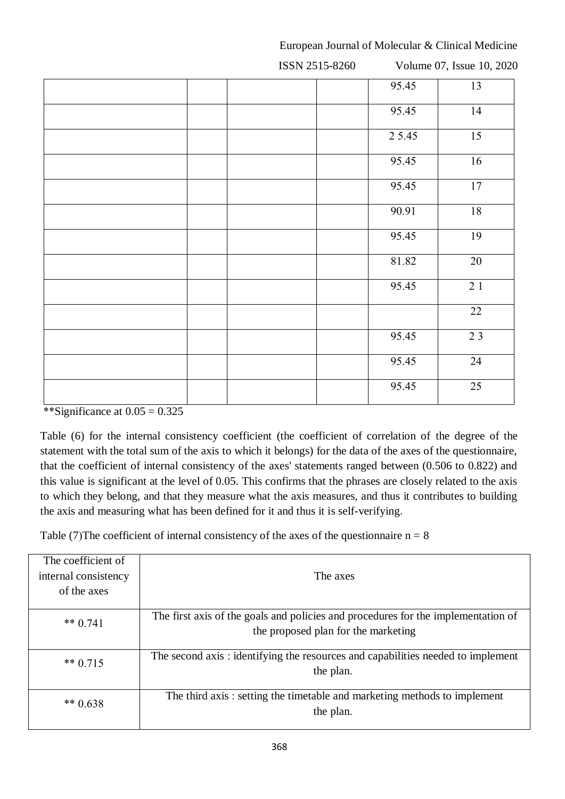ISSN 2515-8260 Volume 07, Issue 10, 2020 95.45 13 95.45 14 2 5.45 15 95.45 16 95.45 17 90.91 18 95.45 19 81.82 20 95.45 2 1 22 95.45 2 3 95.45 24 95.45 25

European Journal of Molecular & Clinical Medicine

\*\*Significance at  $0.05 = 0.325$ 

Table (6) for the internal consistency coefficient (the coefficient of correlation of the degree of the statement with the total sum of the axis to which it belongs) for the data of the axes of the questionnaire, that the coefficient of internal consistency of the axes' statements ranged between (0.506 to 0.822) and this value is significant at the level of 0.05. This confirms that the phrases are closely related to the axis to which they belong, and that they measure what the axis measures, and thus it contributes to building the axis and measuring what has been defined for it and thus it is self-verifying.

Table (7) The coefficient of internal consistency of the axes of the questionnaire  $n = 8$ 

| The coefficient of   |                                                                                                                          |  |  |  |  |  |
|----------------------|--------------------------------------------------------------------------------------------------------------------------|--|--|--|--|--|
| internal consistency | The axes                                                                                                                 |  |  |  |  |  |
| of the axes          |                                                                                                                          |  |  |  |  |  |
| ** $0.741$           | The first axis of the goals and policies and procedures for the implementation of<br>the proposed plan for the marketing |  |  |  |  |  |
| ** $0.715$           | The second axis: identifying the resources and capabilities needed to implement<br>the plan.                             |  |  |  |  |  |
| ** $0.638$           | The third axis: setting the timetable and marketing methods to implement<br>the plan.                                    |  |  |  |  |  |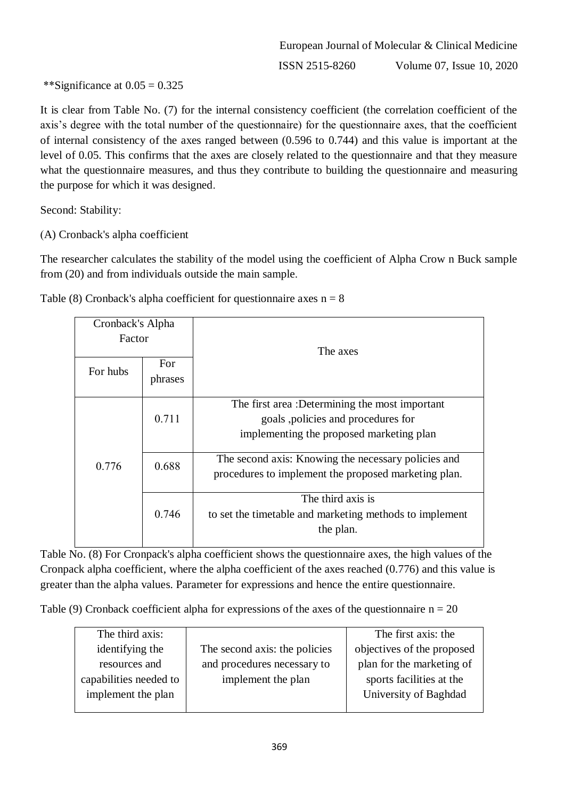\*\*Significance at  $0.05 = 0.325$ 

It is clear from Table No. (7) for the internal consistency coefficient (the correlation coefficient of the axis's degree with the total number of the questionnaire) for the questionnaire axes, that the coefficient of internal consistency of the axes ranged between (0.596 to 0.744) and this value is important at the level of 0.05. This confirms that the axes are closely related to the questionnaire and that they measure what the questionnaire measures, and thus they contribute to building the questionnaire and measuring the purpose for which it was designed.

Second: Stability:

(A) Cronback's alpha coefficient

The researcher calculates the stability of the model using the coefficient of Alpha Crow n Buck sample from (20) and from individuals outside the main sample.

| Cronback's Alpha |         |                                                         |  |  |
|------------------|---------|---------------------------------------------------------|--|--|
| Factor           |         |                                                         |  |  |
|                  |         | The axes                                                |  |  |
| For hubs         | For.    |                                                         |  |  |
|                  | phrases |                                                         |  |  |
|                  | 0.711   | The first area :Determining the most important          |  |  |
|                  |         | goals, policies and procedures for                      |  |  |
|                  |         | implementing the proposed marketing plan                |  |  |
|                  | 0.688   | The second axis: Knowing the necessary policies and     |  |  |
| 0.776            |         | procedures to implement the proposed marketing plan.    |  |  |
|                  | 0.746   | The third axis is                                       |  |  |
|                  |         | to set the timetable and marketing methods to implement |  |  |
|                  |         | the plan.                                               |  |  |
|                  |         |                                                         |  |  |

Table (8) Cronback's alpha coefficient for questionnaire axes  $n = 8$ 

Table No. (8) For Cronpack's alpha coefficient shows the questionnaire axes, the high values of the Cronpack alpha coefficient, where the alpha coefficient of the axes reached (0.776) and this value is greater than the alpha values. Parameter for expressions and hence the entire questionnaire.

Table (9) Cronback coefficient alpha for expressions of the axes of the questionnaire  $n = 20$ 

| The third axis:        |                               | The first axis: the        |
|------------------------|-------------------------------|----------------------------|
| identifying the        | The second axis: the policies | objectives of the proposed |
| resources and          | and procedures necessary to   | plan for the marketing of  |
| capabilities needed to | implement the plan            | sports facilities at the   |
| implement the plan     |                               | University of Baghdad      |
|                        |                               |                            |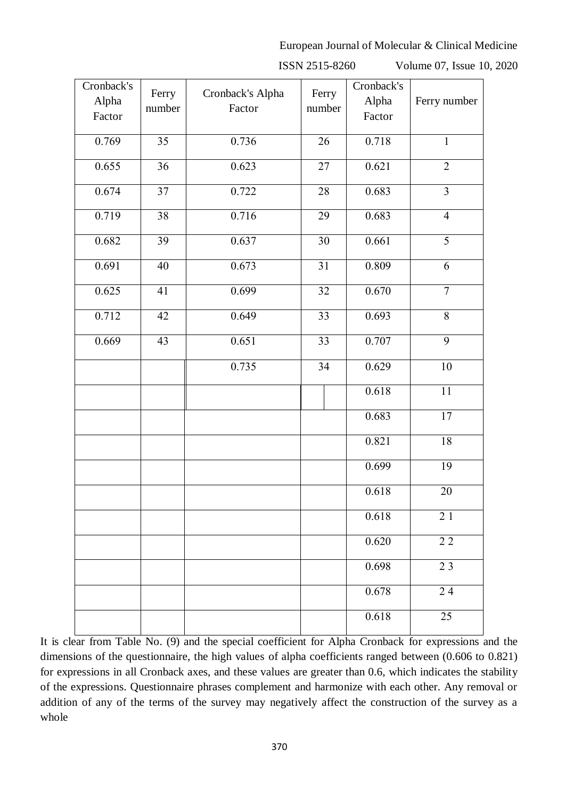ISSN 2515-8260 Volume 07, Issue 10, 2020

| Cronback's |        |                  |                 | Cronback's |                         |
|------------|--------|------------------|-----------------|------------|-------------------------|
| Alpha      | Ferry  | Cronback's Alpha | Ferry           | Alpha      | Ferry number            |
| Factor     | number | Factor           | number          | Factor     |                         |
|            |        |                  |                 |            |                         |
| 0.769      | 35     | 0.736            | 26              | 0.718      | $\mathbf{1}$            |
|            |        |                  |                 |            |                         |
| 0.655      | 36     | 0.623            | 27              | 0.621      | $\overline{2}$          |
| 0.674      | 37     | 0.722            | 28              | 0.683      | $\overline{\mathbf{3}}$ |
|            |        |                  |                 |            |                         |
| 0.719      | 38     | 0.716            | 29              | 0.683      | $\overline{4}$          |
|            |        |                  |                 |            |                         |
| 0.682      | 39     | 0.637            | $\overline{30}$ | 0.661      | $\overline{5}$          |
|            |        |                  |                 |            |                         |
| 0.691      | 40     | 0.673            | 31              | 0.809      | 6                       |
|            |        |                  |                 |            |                         |
| 0.625      | 41     | 0.699            | $\overline{32}$ | 0.670      | $\overline{7}$          |
| 0.712      | 42     | 0.649            | 33              | 0.693      | $\,8\,$                 |
|            |        |                  |                 |            |                         |
| 0.669      | 43     | 0.651            | 33              | 0.707      | $\overline{9}$          |
|            |        |                  |                 |            |                         |
|            |        | 0.735            | 34              | 0.629      | 10                      |
|            |        |                  |                 |            |                         |
|            |        |                  |                 | 0.618      | 11                      |
|            |        |                  |                 |            |                         |
|            |        |                  |                 | 0.683      | $17\,$                  |
|            |        |                  |                 | 0.821      | 18                      |
|            |        |                  |                 |            |                         |
|            |        |                  |                 | 0.699      | 19                      |
|            |        |                  |                 |            |                         |
|            |        |                  |                 | 0.618      | $\overline{20}$         |
|            |        |                  |                 |            |                         |
|            |        |                  |                 | 0.618      | 21                      |
|            |        |                  |                 | 0.620      | $2\,2$                  |
|            |        |                  |                 |            |                         |
|            |        |                  |                 | 0.698      | 23                      |
|            |        |                  |                 |            |                         |
|            |        |                  |                 | 0.678      | $2\;4$                  |
|            |        |                  |                 |            |                         |
|            |        |                  |                 | 0.618      | 25                      |
|            |        |                  |                 |            |                         |

It is clear from Table No. (9) and the special coefficient for Alpha Cronback for expressions and the dimensions of the questionnaire, the high values of alpha coefficients ranged between (0.606 to 0.821) for expressions in all Cronback axes, and these values are greater than 0.6, which indicates the stability of the expressions. Questionnaire phrases complement and harmonize with each other. Any removal or addition of any of the terms of the survey may negatively affect the construction of the survey as a whole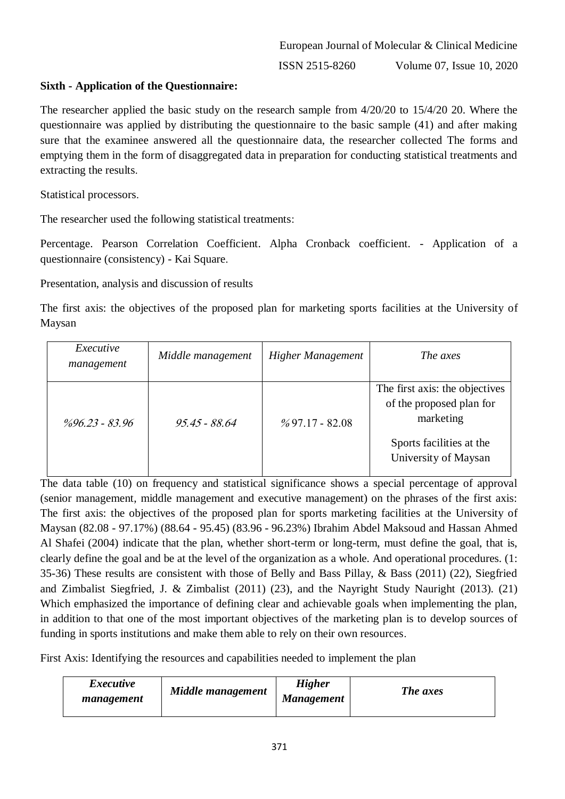ISSN 2515-8260 Volume 07, Issue 10, 2020

### **Sixth - Application of the Questionnaire:**

The researcher applied the basic study on the research sample from 4/20/20 to 15/4/20 20. Where the questionnaire was applied by distributing the questionnaire to the basic sample (41) and after making sure that the examinee answered all the questionnaire data, the researcher collected The forms and emptying them in the form of disaggregated data in preparation for conducting statistical treatments and extracting the results.

Statistical processors.

The researcher used the following statistical treatments:

Percentage. Pearson Correlation Coefficient. Alpha Cronback coefficient. - Application of a questionnaire (consistency) - Kai Square.

Presentation, analysis and discussion of results

The first axis: the objectives of the proposed plan for marketing sports facilities at the University of Maysan

| Executive<br>management | Middle management | Higher Management | The axes                                                                                                                    |
|-------------------------|-------------------|-------------------|-----------------------------------------------------------------------------------------------------------------------------|
| $\%96.23 - 83.96$       | 95.45 - 88.64     | $%97.17 - 82.08$  | The first axis: the objectives<br>of the proposed plan for<br>marketing<br>Sports facilities at the<br>University of Maysan |

The data table (10) on frequency and statistical significance shows a special percentage of approval (senior management, middle management and executive management) on the phrases of the first axis: The first axis: the objectives of the proposed plan for sports marketing facilities at the University of Maysan (82.08 - 97.17%) (88.64 - 95.45) (83.96 - 96.23%) Ibrahim Abdel Maksoud and Hassan Ahmed Al Shafei (2004) indicate that the plan, whether short-term or long-term, must define the goal, that is, clearly define the goal and be at the level of the organization as a whole. And operational procedures. (1: 35-36) These results are consistent with those of Belly and Bass Pillay, & Bass (2011) (22), Siegfried and Zimbalist Siegfried, J. & Zimbalist (2011) (23), and the Nayright Study Nauright (2013). (21) Which emphasized the importance of defining clear and achievable goals when implementing the plan, in addition to that one of the most important objectives of the marketing plan is to develop sources of funding in sports institutions and make them able to rely on their own resources.

First Axis: Identifying the resources and capabilities needed to implement the plan

| <i>Executive</i><br>management | Middle management | <b>Higher</b><br><b>Management</b> | The axes |
|--------------------------------|-------------------|------------------------------------|----------|
|                                |                   |                                    |          |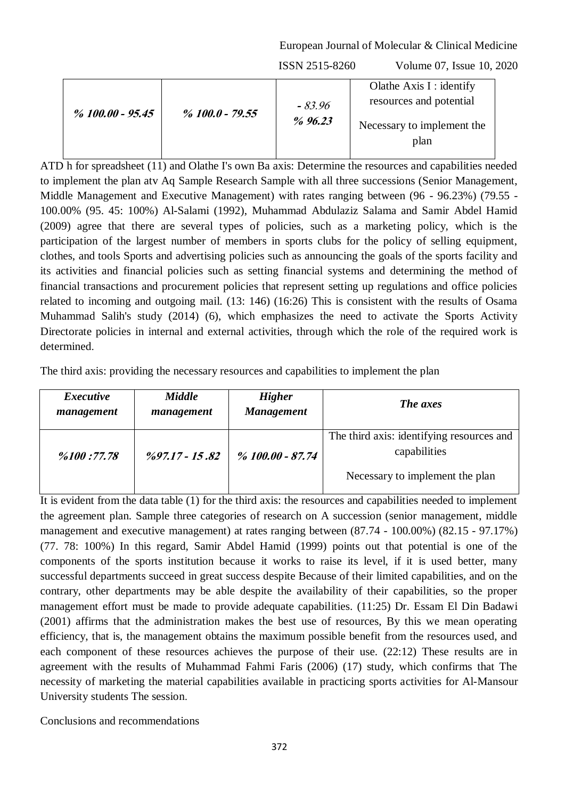ISSN 2515-8260 Volume 07, Issue 10, 2020

| $\%$ 100.00 - 95.45 | $%100.0 - 79.55$ | $-83.96$<br>%96.23 | Olathe Axis $I$ : identify<br>resources and potential<br>Necessary to implement the<br>plan |
|---------------------|------------------|--------------------|---------------------------------------------------------------------------------------------|
|---------------------|------------------|--------------------|---------------------------------------------------------------------------------------------|

ATD h for spreadsheet (11) and Olathe I's own Ba axis: Determine the resources and capabilities needed to implement the plan atv Aq Sample Research Sample with all three successions (Senior Management, Middle Management and Executive Management) with rates ranging between (96 - 96.23%) (79.55 - 100.00% (95. 45: 100%) Al-Salami (1992), Muhammad Abdulaziz Salama and Samir Abdel Hamid (2009) agree that there are several types of policies, such as a marketing policy, which is the participation of the largest number of members in sports clubs for the policy of selling equipment, clothes, and tools Sports and advertising policies such as announcing the goals of the sports facility and its activities and financial policies such as setting financial systems and determining the method of financial transactions and procurement policies that represent setting up regulations and office policies related to incoming and outgoing mail. (13: 146) (16:26) This is consistent with the results of Osama Muhammad Salih's study (2014) (6), which emphasizes the need to activate the Sports Activity Directorate policies in internal and external activities, through which the role of the required work is determined.

The third axis: providing the necessary resources and capabilities to implement the plan

| <i>Executive</i> | <b>Middle</b>             | <b>Higher</b>     | <b>The axes</b>                                                                              |
|------------------|---------------------------|-------------------|----------------------------------------------------------------------------------------------|
| management       | management                | <b>Management</b> |                                                                                              |
| %100:77.78       | $\frac{9}{97.17}$ - 15.82 | % 100.00 - 87.74  | The third axis: identifying resources and<br>capabilities<br>Necessary to implement the plan |

It is evident from the data table (1) for the third axis: the resources and capabilities needed to implement the agreement plan. Sample three categories of research on A succession (senior management, middle management and executive management) at rates ranging between (87.74 - 100.00%) (82.15 - 97.17%) (77. 78: 100%) In this regard, Samir Abdel Hamid (1999) points out that potential is one of the components of the sports institution because it works to raise its level, if it is used better, many successful departments succeed in great success despite Because of their limited capabilities, and on the contrary, other departments may be able despite the availability of their capabilities, so the proper management effort must be made to provide adequate capabilities. (11:25) Dr. Essam El Din Badawi (2001) affirms that the administration makes the best use of resources, By this we mean operating efficiency, that is, the management obtains the maximum possible benefit from the resources used, and each component of these resources achieves the purpose of their use. (22:12) These results are in agreement with the results of Muhammad Fahmi Faris (2006) (17) study, which confirms that The necessity of marketing the material capabilities available in practicing sports activities for Al-Mansour University students The session.

Conclusions and recommendations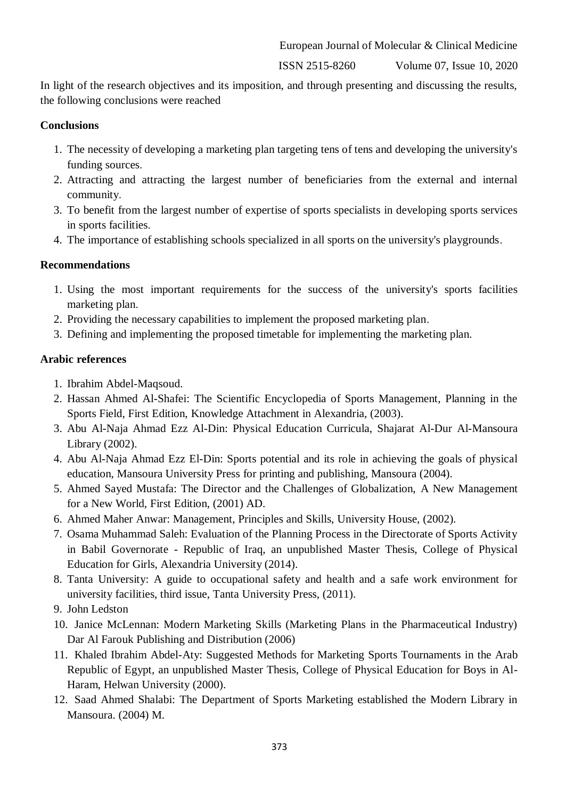ISSN 2515-8260 Volume 07, Issue 10, 2020

In light of the research objectives and its imposition, and through presenting and discussing the results, the following conclusions were reached

#### **Conclusions**

- 1. The necessity of developing a marketing plan targeting tens of tens and developing the university's funding sources.
- 2. Attracting and attracting the largest number of beneficiaries from the external and internal community.
- 3. To benefit from the largest number of expertise of sports specialists in developing sports services in sports facilities.
- 4. The importance of establishing schools specialized in all sports on the university's playgrounds.

#### **Recommendations**

- 1. Using the most important requirements for the success of the university's sports facilities marketing plan.
- 2. Providing the necessary capabilities to implement the proposed marketing plan.
- 3. Defining and implementing the proposed timetable for implementing the marketing plan.

#### **Arabic references**

- 1. Ibrahim Abdel-Maqsoud.
- 2. Hassan Ahmed Al-Shafei: The Scientific Encyclopedia of Sports Management, Planning in the Sports Field, First Edition, Knowledge Attachment in Alexandria, (2003).
- 3. Abu Al-Naja Ahmad Ezz Al-Din: Physical Education Curricula, Shajarat Al-Dur Al-Mansoura Library (2002).
- 4. Abu Al-Naja Ahmad Ezz El-Din: Sports potential and its role in achieving the goals of physical education, Mansoura University Press for printing and publishing, Mansoura (2004).
- 5. Ahmed Sayed Mustafa: The Director and the Challenges of Globalization, A New Management for a New World, First Edition, (2001) AD.
- 6. Ahmed Maher Anwar: Management, Principles and Skills, University House, (2002).
- 7. Osama Muhammad Saleh: Evaluation of the Planning Process in the Directorate of Sports Activity in Babil Governorate - Republic of Iraq, an unpublished Master Thesis, College of Physical Education for Girls, Alexandria University (2014).
- 8. Tanta University: A guide to occupational safety and health and a safe work environment for university facilities, third issue, Tanta University Press, (2011).
- 9. John Ledston
- 10. Janice McLennan: Modern Marketing Skills (Marketing Plans in the Pharmaceutical Industry) Dar Al Farouk Publishing and Distribution (2006)
- 11. Khaled Ibrahim Abdel-Aty: Suggested Methods for Marketing Sports Tournaments in the Arab Republic of Egypt, an unpublished Master Thesis, College of Physical Education for Boys in Al-Haram, Helwan University (2000).
- 12. Saad Ahmed Shalabi: The Department of Sports Marketing established the Modern Library in Mansoura. (2004) M.